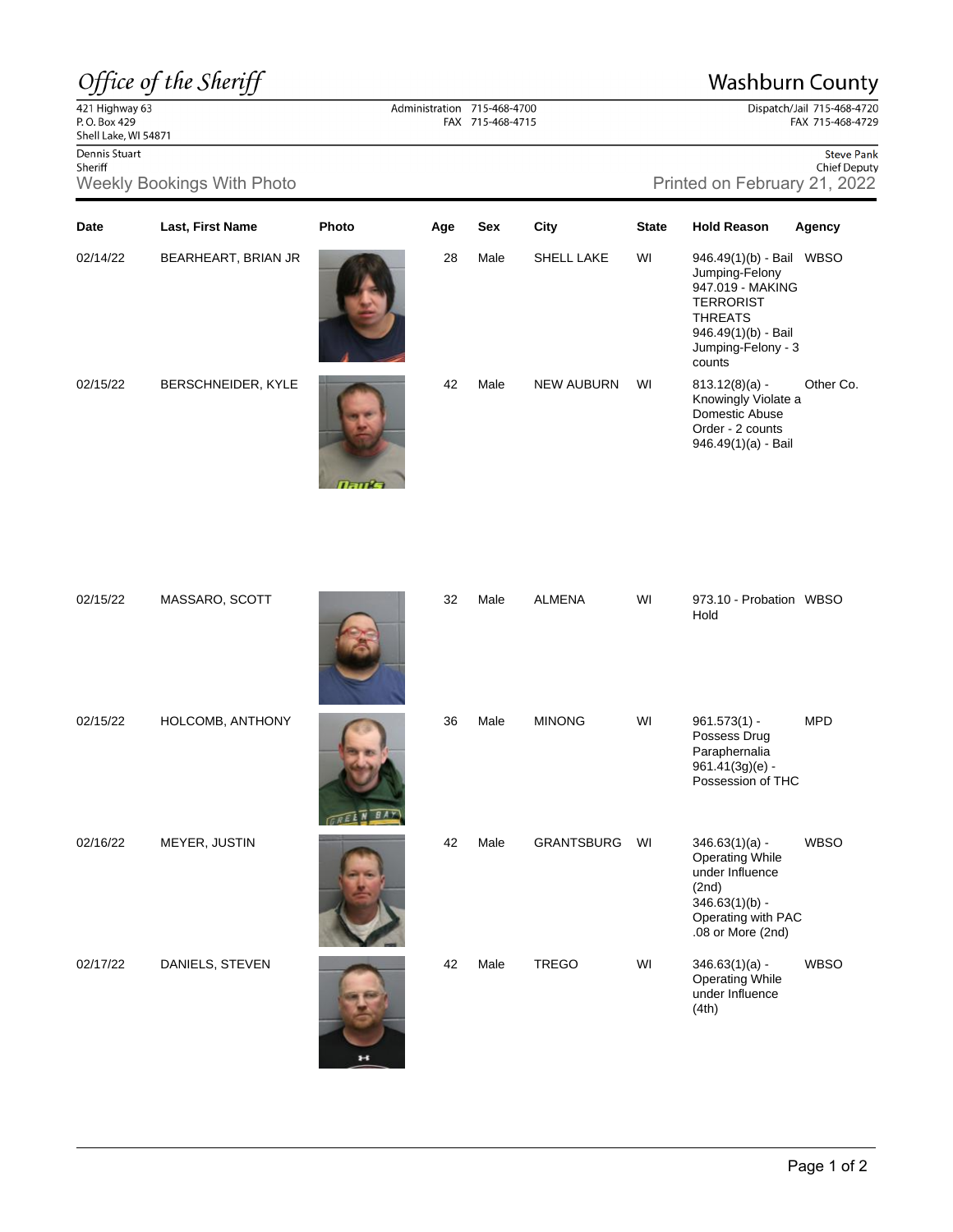## Office of the Sheriff

## **Washburn County**

Dispatch/Jail 715-468-4720 FAX 715-468-4729

 $\frac{22}{421}$  Highway 63<br>P.O. Box 429 Shell Lake, WI 54871 Dennis Stuart

Sheriff

Dennis Stuart Sheriff Sheriff Sheriff Sheriff Sheriff Sheriff Sheriff Sheriff Sheriff Sheriff Sheriff Sheriff Chief Deputy Chief Deputy Chief Deputy Chief Deputy (Neekly Bookings With Photo Printed on February 21, 2022

| Date     | Last, First Name    | Photo | Age | Sex  | City              | <b>State</b> | <b>Hold Reason</b>                                                                                                                                          | Agency      |
|----------|---------------------|-------|-----|------|-------------------|--------------|-------------------------------------------------------------------------------------------------------------------------------------------------------------|-------------|
| 02/14/22 | BEARHEART, BRIAN JR |       | 28  | Male | SHELL LAKE        | WI           | 946.49(1)(b) - Bail WBSO<br>Jumping-Felony<br>947.019 - MAKING<br><b>TERRORIST</b><br><b>THREATS</b><br>946.49(1)(b) - Bail<br>Jumping-Felony - 3<br>counts |             |
| 02/15/22 | BERSCHNEIDER, KYLE  | Tauk  | 42  | Male | <b>NEW AUBURN</b> | WI           | $813.12(8)(a) -$<br>Knowingly Violate a<br>Domestic Abuse<br>Order - 2 counts<br>946.49(1)(a) - Bail                                                        | Other Co.   |
| 02/15/22 | MASSARO, SCOTT      |       | 32  | Male | <b>ALMENA</b>     | WI           | 973.10 - Probation WBSO<br>Hold                                                                                                                             |             |
| 02/15/22 | HOLCOMB, ANTHONY    |       | 36  | Male | <b>MINONG</b>     | WI           | $961.573(1) -$<br>Possess Drug<br>Paraphernalia<br>$961.41(3g)(e) -$<br>Possession of THC                                                                   | <b>MPD</b>  |
| 02/16/22 | MEYER, JUSTIN       |       | 42  | Male | <b>GRANTSBURG</b> | WI           | $346.63(1)(a) -$                                                                                                                                            | <b>WBSO</b> |

Administration 715-468-4700 FAX 715-468-4715

02/17/22 DANIELS, STEVEN 42 Male



|                   |    | $901.41(39)(e) -$<br>Possession of THC                                                                                                |      |
|-------------------|----|---------------------------------------------------------------------------------------------------------------------------------------|------|
| <b>GRANTSBURG</b> | WI | $346.63(1)(a) -$<br><b>Operating While</b><br>under Influence<br>(2nd)<br>$346.63(1)(b) -$<br>Operating with PAC<br>.08 or More (2nd) | WBSO |
| <b>TREGO</b>      | WI | $346.63(1)(a) -$<br><b>Operating While</b><br>under Influence<br>(4th)                                                                | WBSO |